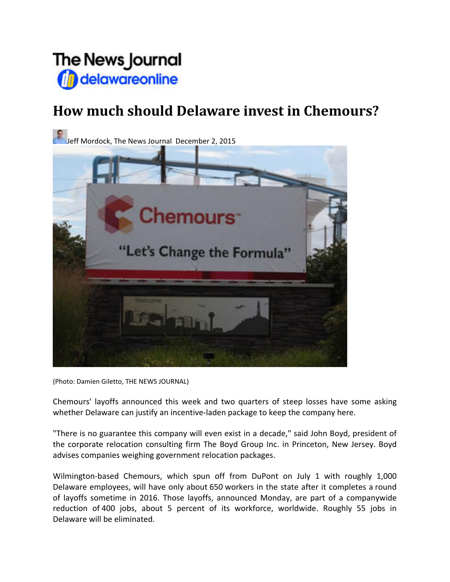

## **How much should Delaware invest in Chemours?**

Jeff Mordock, The News Journal December 2, 2015 emours<sup>®</sup> "Let's Change the Formula"

(Photo: Damien Giletto, THE NEWS JOURNAL)

Chemours' layoffs announced this week and two quarters of steep losses have some asking whether Delaware can justify an incentive-laden package to keep the company here.

"There is no guarantee this company will even exist in a decade," said John Boyd, president of the corporate relocation consulting firm The Boyd Group Inc. in Princeton, New Jersey. Boyd advises companies weighing government relocation packages.

Wilmington-based Chemours, which spun off from DuPont on July 1 with roughly 1,000 Delaware employees, will have only about 650 workers in the state after it completes a round of layoffs sometime in 2016. Those layoffs, announced Monday, are part of a companywide reduction of 400 jobs, about 5 percent of its workforce, worldwide. Roughly 55 jobs in Delaware will be eliminated.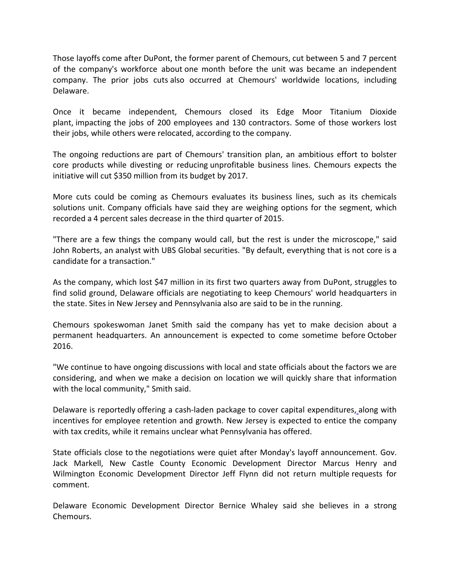Those layoffs come after DuPont, the former parent of Chemours, cut between 5 and 7 percent of the company's workforce about one month before the unit was became an independent company. The prior jobs cuts also occurred at Chemours' worldwide locations, including Delaware.

Once it became independent, Chemours closed its Edge Moor Titanium Dioxide plant, impacting the jobs of 200 employees and 130 contractors. Some of those workers lost their jobs, while others were relocated, according to the company.

The ongoing reductions are part of Chemours' transition plan, an ambitious effort to bolster core products while divesting or reducing unprofitable business lines. Chemours expects the initiative will cut \$350 million from its budget by 2017.

More cuts could be coming as Chemours evaluates its business lines, such as its chemicals solutions unit. Company officials have said they are weighing options for the segment, which recorded a 4 percent sales decrease in the third quarter of 2015.

"There are a few things the company would call, but the rest is under the microscope," said John Roberts, an analyst with UBS Global securities. "By default, everything that is not core is a candidate for a transaction."

As the company, which lost \$47 million in its first two quarters away from DuPont, struggles to find solid ground, Delaware officials are negotiating to keep Chemours' world headquarters in the state. Sites in New Jersey and Pennsylvania also are said to be in the running.

Chemours spokeswoman Janet Smith said the company has yet to make decision about a permanent headquarters. An announcement is expected to come sometime before October 2016.

"We continue to have ongoing discussions with local and state officials about the factors we are considering, and when we make a decision on location we will quickly share that information with the local community," Smith said.

Delaware is reportedly offering a cash-laden package to cover capital expenditures, along with incentives for employee retention and growth. New Jersey is expected to entice the company with tax credits, while it remains unclear what Pennsylvania has offered.

State officials close to the negotiations were quiet after Monday's layoff announcement. Gov. Jack Markell, New Castle County Economic Development Director Marcus Henry and Wilmington Economic Development Director Jeff Flynn did not return multiple requests for comment.

Delaware Economic Development Director Bernice Whaley said she believes in a strong Chemours.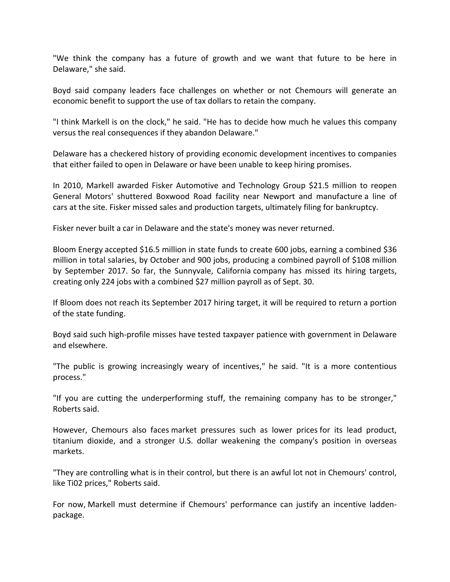"We think the company has a future of growth and we want that future to be here in Delaware," she said.

Boyd said company leaders face challenges on whether or not Chemours will generate an economic benefit to support the use of tax dollars to retain the company.

"I think Markell is on the clock," he said. "He has to decide how much he values this company versus the real consequences if they abandon Delaware."

Delaware has a checkered history of providing economic development incentives to companies that either failed to open in Delaware or have been unable to keep hiring promises.

In 2010, Markell awarded Fisker Automotive and Technology Group \$21.5 million to reopen General Motors' shuttered Boxwood Road facility near Newport and manufacture a line of cars at the site. Fisker missed sales and production targets, ultimately filing for bankruptcy.

Fisker never built a car in Delaware and the state's money was never returned.

Bloom Energy accepted \$16.5 million in state funds to create 600 jobs, earning a combined \$36 million in total salaries, by October and 900 jobs, producing a combined payroll of \$108 million by September 2017. So far, the Sunnyvale, California company has missed its hiring targets, creating only 224 jobs with a combined \$27 million payroll as of Sept. 30.

If Bloom does not reach its September 2017 hiring target, it will be required to return a portion of the state funding.

Boyd said such high‐profile misses have tested taxpayer patience with government in Delaware and elsewhere.

"The public is growing increasingly weary of incentives," he said. "It is a more contentious process."

"If you are cutting the underperforming stuff, the remaining company has to be stronger," Roberts said.

However, Chemours also faces market pressures such as lower prices for its lead product, titanium dioxide, and a stronger U.S. dollar weakening the company's position in overseas markets.

"They are controlling what is in their control, but there is an awful lot not in Chemours' control, like Ti02 prices," Roberts said.

For now, Markell must determine if Chemours' performance can justify an incentive ladden‐ package.